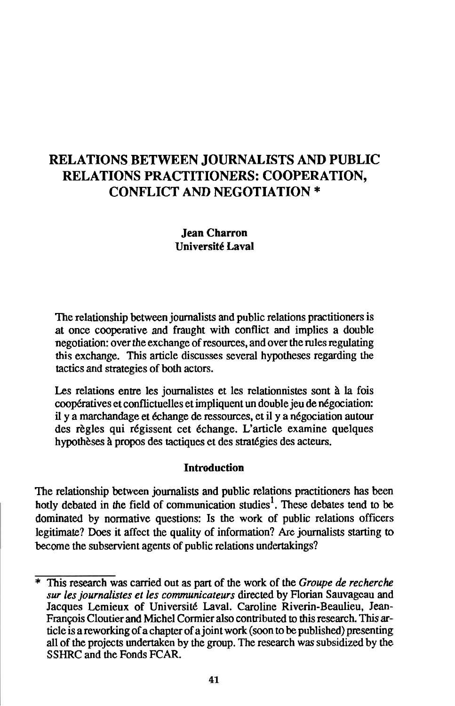# **RELATIONS BETWEEN JOURNALISTS AND PUBLIC RELATIONS PRACTITIONERS: COOPERATION, CONFLICT AND NEGOTIATION** \*

## Jean Charron Universite Laval

The relationship between journalists and public relations practitioners is at once cooperative and fraught with conflict and implies a double negotiation: over the exchange of resources, and over the rules regulating this exchange. This article discusses several hypotheses regarding the tactics and strategies of both actors.

Les relations entre les journalistes et les relationnistes sont *h* la fois coopératives et conflictuelles et impliquent un double jeu de négociation: il y a marchandage et échange de ressources, et il y a négociation autour des règles qui régissent cet échange. L'article examine quelques hypothèses à propos des tactiques et des stratégies des acteurs.

# Introduction

The relationship between journalists and public relations practitioners has been hotly debated in the field of communication studies<sup>1</sup>. These debates tend to be dominated by normative questions: Is the work of public relations officers legitimate? Does it affect the quality of information? Are journalists starting to become the subservient agents of public relations undertakings?

<sup>\*</sup> This research was carried out as part of the work of the *Groupe de recherche sur les journalistes et les communicateurs* directed by Florian Sauvageau and Jacques Lemieux of Université Laval. Caroline Riverin-Beaulieu, Jean-François Cloutier and Michel Cormier also contributed to this research. This article is a reworking of a chapter of a joint work (soon to be published) presenting all of the projects undertaken by the group. The research was subsidized by the SSHRC and the Fonds FCAR.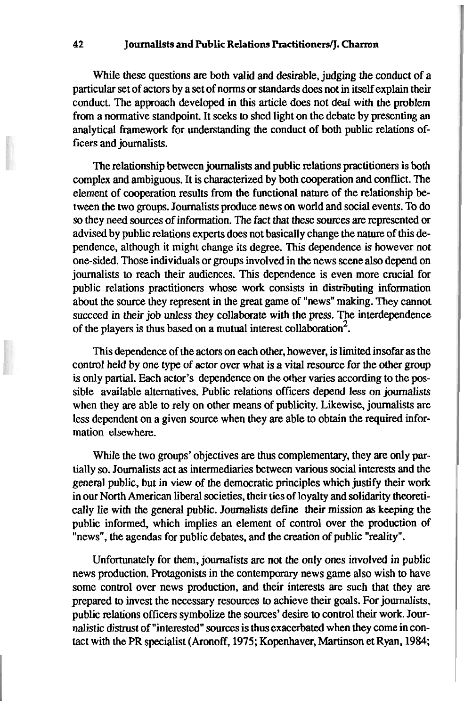#### **42 Journalists and Public Relations PractitionerslJ. Charron**

While these questions are both valid and desirable, judging the conduct of a particular set of actors by a set of norms or standards does not in itself explain their conduct. The approach developed in this article does not deal with the problem from a normative standpoint. It seeks to shed light on the debate by presenting an analytical framework for understanding the conduct of both public relations officers and journalists.

The relationship between journalists and public relations practitioners is both complex and ambiguous. It is characterized by both cooperation and conflict. The element of cooperation results from the functional nature of the relationship between the two groups. Journalists produce news on world and social events. To do so they need sources of information. The fact that these sources are represented or advised by public relations experts does not basically change the nature of this dependence, although it might change its degree. This dependence is however not one-sided. Those individuals or groups involved in the news scene also depend on journalists to reach their audiences. This dependence is even more crucial for public relations practitioners whose work consists in distributing information about the source they represent in the great game of "news" making. They cannot succeed in **their** job unless they collaborate with the press. The interdependence of the players is thus based on a mutual interest collaboration<sup>2</sup>.

This dependence of the actors on each other, however, is limited insofar as the control held by one type of actor over what is a vital resource for the other group is only partial. Each actor's dependence on the other varies according to the possible available alternatives. Public relations officers depend less on journalists when they are able to rely on other means of publicity. Likewise, journalists are less dependent on a given source when they are able to obtain the required information elsewhere.

While the two groups' objectives are thus complementary, they are only partially so. Journalists act as intermediaries between various social interests and the general public, but in view of the democratic principles which justify their work in our North American liberal societies, their ties of loyalty and solidarity theoretically lie with the general public. Journalists define their mission as keeping the public informed, which implies an element of control over the production of "news", the agendas for public debates, and the creation of public "reality".

Unfortunately for them, journalists are not the only ones involved in public news production. Protagonists in the contemporary news game also wish to have some control over news production, and their interests are such that they are prepared to invest the necessary resources to achieve their goals. For journalists, public relations officers symbolize the sources' desire to control their work. Journalistic distrust of "interested" sows is thus exacerbated when they come in contact with the PR specialist (Aronoff, **1975;** Kopenhaver, Martinson et Ryan, **1984;**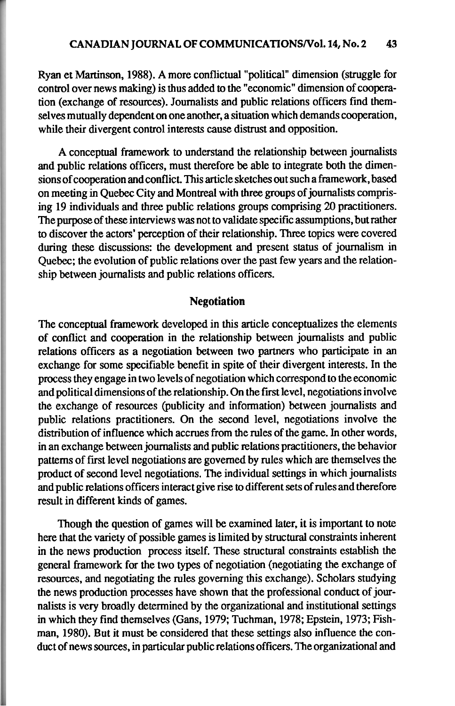Ryan et Martinson, 1988). A more conflictual "political" dimension (struggle for control over news making) is thus added to the "economic" dimension of cooperation (exchange of resources). Journalists and public relations officers find themselves mutually dependent on one another, a situation which demands cooperation, while their divergent control interests **cause** distrust and opposition.

A conceptual framework to understand the relationship between journalists and public relations officers, must therefore be able to integrate both the dimensions of cooperation and conflict. This article sketches out such a framework, based on meeting in Quebec City and Montreal with three groups of journalists comprising 19 individuals and three public relations groups comprising 20 practitioners. The purpose of these interviews was not to validate specific assumptions, but rather to discover the actors' perception of their relationship. Three topics were covered during these discussions: the development and present status of journalism in Quebec; the evolution of public relations over the past few years and the relationship between journalists and public relations officers.

#### **Negotiation**

The conceptual framework developed in this article conceptualizes the elements of conflict and cooperation in the relationship between journalists and public relations officers as a negotiation between two partners who participate in an exchange for some specifiable benefit in spite of their divergent interests. In the process they engage in two levels of negotiation which correspond to the economic and political dimensions of the relationship. On the first level, negotiations involve the exchange of resources (publicity and information) between journalists and public relations practitioners. On the second level, negotiations involve the distribution of influence which accrues from the rules of the game. In other words, in an exchange between journalists and public relations practitioners, the behavior patterns of first level negotiations are governed by rules which are themselves the product of second level negotiations. The individual settings in which journalists and public relations officers interact give rise to different sets of rules and therefore result in different kinds of games.

Though the question of games will be examined later, it is important to note here that the variety of possible games is limited by structural constraints inherent in the news production process itself. These structural constraints establish the general framework for the two types of negotiation (negotiating the exchange of resources, and negotiating the rules governing this exchange). Scholars studying the news production processes have shown that the professional conduct of journalists is very broadly determined by the organizational and institutional settings in which they find themselves (Gans, 1979; Tuchman, 1978; Epstein, 1973; Fishman, 1980). But it must be considered that these settings also influence the conduct of news sources, in particular public relations officers. The organizational and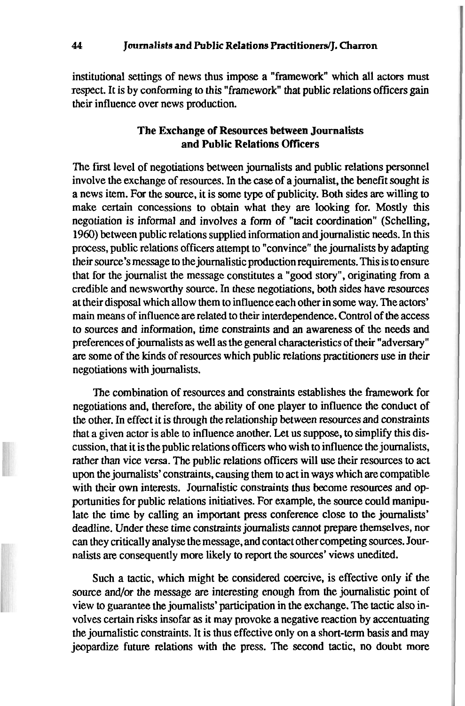institutional settings of news thus impose a "framework" which all actors must respect. It is by conforming to this "framework" that public relations officers gain their influence over news production.

### **The Exchange of Resources between Journalists and Public Relations Officers**

The first level of negotiations between journalists and public relations personnel involve the exchange of resources. In the case of a journalist, the benefit sought is a news item. For the source, it is some type of publicity. Both sides are willing to make certain concessions to obtain what they are looking for. Mostly this negotiation is informal and involves a form of "tacit coordination" (Schelling, 1960) between public relations supplied information and journalistic needs. In this process, public relations officers attempt to "convince" the journalists by adapting their source's message to the journalistic production requirements. This is to ensure that for the journalist the message constitutes a "good story", originating from a credible and newsworthy source. In these negotiations, both sides have resources at their disposal which allow them to influence each other in some way. The actors' main means of influence are related to their interdependence. Control of the access to sources and information, time constraints and an awareness of the needs and preferences of journalists as well as the general characteristics of their "adversary" are some of the kinds of resources which public relations practitioners use in their negotiations with journalists.

The combination of resources and constraints establishes the framework for negotiations and, therefore, the ability of one player to influence the conduct of the other. In effect it is through the relationship between resources and constraints that a given actor is able to influence another. Let us suppose, to simplify this discussion, that it is the public relations officers who wish to influence the journdists, rather than vice versa. The public relations officers will use their resources to act upon the journalists' constraints, causing them to act in ways which are compatible with their own interests. Journalistic constraints thus become resources and opportunities for public relations initiatives. For example, the source could manipulate the time by calling an important press conference close to the journalists' deadline. Under these time constraints journalists cannot prepare themselves, nor can they critically analyse the message, and contact other competing sources. Journalists are consequently more likely to report the sources' views unedited.

Such a tactic, which might be considered coercive, is effective only if the source and/or the message are interesting enough from the journalistic point of view to guarantee the journalists' participation in the exchange. The tactic also involves certain risks insofar as it may provoke a negative reaction by accentuating the journalistic constraints. It is thus effective only on a short-term basis and may jeopardize future relations with the press. The second tactic, no doubt more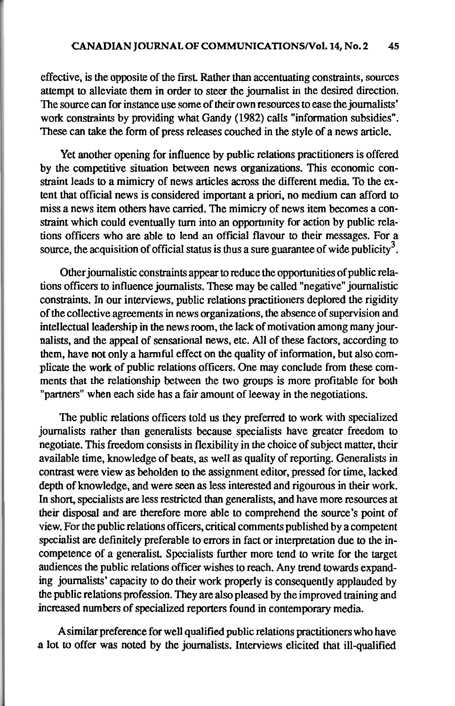effective, is the opposite of the first. Rather than accentuating constraints, sources attempt to alleviate them in order to steer the journalist in the desired direction. The source can for instance use some of their own resources to ease the journalists' work constraints by providing what Gandy (1982) calls "information subsidies". These can take the form of press releases couched in the style of a news article.

Yet another opening for influence by public relations practitioners is offered by the competitive situation between news organizations. This economic constraint leads to a mimicry of news articles across the different media. To the extent that official news is considered important a priori, no medium can afford to miss a news item others have camed. The mimicry of news item becomes a constraint which could eventually turn into an opportunity for action by public relations officers who are able to lend an official flavour to their messages. For a source, the acquisition of official status is thus a sure guarantee of wide publicity<sup>3</sup>.

Other journalistic constraints appear to reduce the opportunities of public relations officers to influence journalists. These may be called "negative" journalistic constraints. In our interviews, public relations practitioners deplored the rigidity of the collective agreements in news organizations, the absence of supervision and intellectual leadership in the news room, the lack of motivation among many journalists, and the appeal of sensational news, etc. All of these factors, according to them, have not only a harmful effect on the quality of information, but also complicate the work of public relations officers. One may conclude from these comments that the relationship between the two groups is more profitable for both "partners" when each side has a fair amount of leeway in the negotiations.

The public relations officers told us they preferred to work with specialized journalists rather than generalists because specialists have greater freedom to negotiate. This freedom consists in flexibility in the choice of subject matter, their available time, knowledge of beats, as well as quality of reporting. Generalists in contrast were view as beholden to the assignment editor, pressed for time, lacked depth of knowledge, and were seen as less interested and rigourous in their work. In short, specialists are less restricted than generalists, and have more resources at their disposal and are therefore more able to comprehend the source's point of view. For the public relations officers, critical comments published by a competent specialist are definitely preferable to errors in fact or interpretation due to the incompetence of a generalist. Specialists further more tend to write for the target audiences the public relations officer wishes to reach. Any trend towards expanding journalists' capacity to do their work properly is consequently applauded by the public relations profession. They are also pleased by the improved training and increased numbers of specialized reporters found in contemporary media.

A similar preference for well qualified public relations practitioners who have a lot to offer was noted by the journalists. Interviews elicited that ill-qualified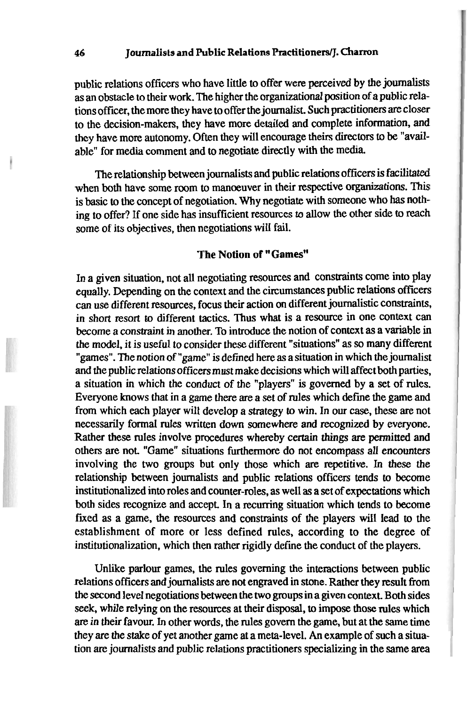public relations officers who have little to offer were perceived by the journalists as an obstacle to their work. The higher the organizational position of a public relations officer, the more they have to offer the journalist. Such practitioners **are** closer to the decision-makers, they have more detailed and complete information, and they have more autonomy. Often they will encourage theirs directors to be "available" for media comment and to negotiate directly with the media.

The relationship between journalists and public relations officers is facilitated when both have some room to manoeuver in their respective organizations. This is basic to the concept of negotiation. Why negotiate with someone who has nothing to offer? If one side has insufficient resources to allow the other side to reach some of its objectives, then negotiations will fail.

### **The Notion of "Games"**

In a given situation, not all negotiating resources and constraints come into play equally. Depending on the context and the circumstances public relations officers can use different resources, focus their action on different journalistic constraints, in short resort to different tactics. Thus what is a resource in one context can become a constraint in another. To introduce the notion of context **as** a variable in the model, it is useful to consider these different "situations" as so many different "games". The notion of "game" is defined here **as** a situation in which the journalist and the public relations officers must make decisions which will affect both parties, a situation in which the conduct of the "players" is governed by a set of rules. Everyone knows that in a game there **are** a set of rules which define the game and from which each player will develop a strategy to win. In our case, these are not necessarily formal rules written down somewhere and recognized by everyone. Rather these rules involve procedures whereby certain things are permitted and others are not. "Game" situations furthermore do not encompass all encounters involving the two groups but only those which **are** repetitive. In these the relationship between journalists and public relations officers tends to become institutionalized into roles and counter-roles, as well as a set of expectations which both sides recognize and accept. In a recurring situation which tends to become fixed as a game, the resources and constraints of the players will lead to the establishment of more or less defined rules, according to the degree of institutionalization, which then rather rigidly define the conduct of the players.

Unlike parlour games, the rules governing the interactions between public relations officers and journalists are not engraved in stone. Rather they result fiom the second level negotiations between the two groups in a given context. Both sides **seek,** while relying on the resources at their disposal, to impose those rules which are in their favour. In other words, the rules govern the game, but at the same time they are the stake of yet another game at a meta-level. An example of such a situation are journalists and public relations practitioners specializing in the same area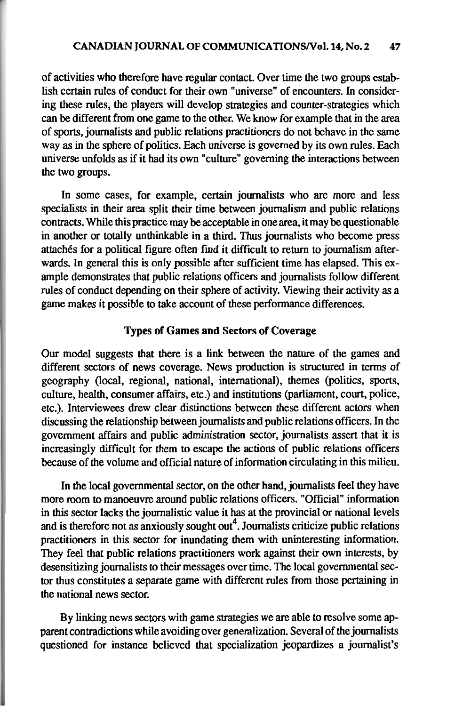of activities who therefore have regular contact. Over time the two groups establish certain rules of conduct for their own "universe" of encounters. In considering these rules, the players will develop strategies and counter-strategies which can be different from one game to the other. We know for example that in the area of sports, journalists and public relations practitioners do not behave in the same way as in the sphere of politics. Each universe is governed by its own rules. Each universe unfolds as if it had its own "culture" governing the interactions between the two groups.

In some cases, for example, certain journalists who are more and less specialists in their area split their time between journalism and public relations contracts. While this practice may be acceptable in one area, it may be questionable in another or totally unthinkable in a third. Thus journalists who become press attachés for a political figure often find it difficult to return to journalism afterwards. In general this is only possible after sufficient time has elapsed. This example demonstrates that public relations officers and journalists follow different rules of conduct depending on their sphere of activity. Viewing their activity as a game makes it possible to take account of these performance differences.

## **Types of Games and Sectors of Coverage**

Our model suggests that there is a link between the nature of the games and different sectors of news coverage. News production is structured in terms of geography (local, regional, national, international), themes (politics, sports, culture, health, consumer affairs, etc.) and institutions (parliament, court, police, etc.). Interviewees drew clear distinctions between these different actors when discussing the relationship between journalists and public relations officers. In the government affairs and public administration sector, journalists assert that it is increasingly difficult for them to escape the actions of public relations officers because of the volume and official nature of information circulating in this milieu.

In the local governmental sector, on the other hand, journalists feel they have more room to manoeuvre around public relations officers. "Official" information in this sector lacks the journalistic value it has at the provincial or national levels and is therefore not as anxiously sought out<sup>4</sup>. Journalists criticize public relations practitioners in this sector for inundating them with uninteresting information. They feel that public relations practitioners work against their own interests, by desensitizing journalists to their messages over time. The local governmental sector thus constitutes a separate game with different rules from those pertaining in the national news sector.

By linking news sectors with game strategies we are able to resolve some apparent contradictions while avoiding over generalization. Several of the journalists questioned for instance believed that specialization jeopardizes a journalist's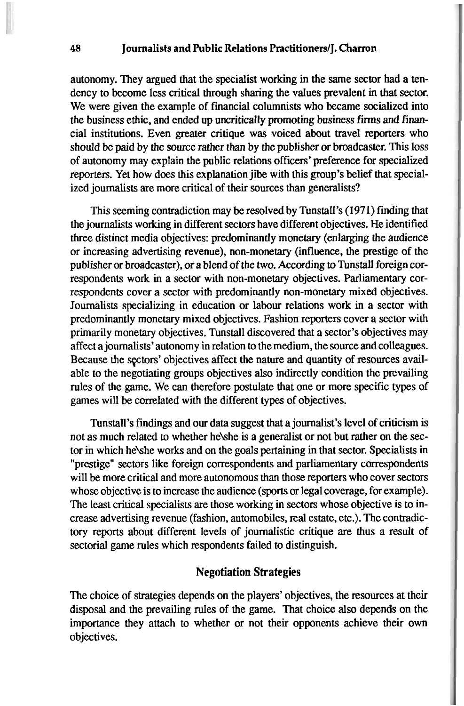autonomy. They argued that the specialist working in the same sector had a tendency to become less critical through sharing the values prevalent in that sector. We were given the example of financial columnists who became socialized into the business ethic, and ended up uncritically promoting business firms and financia1 institutions. Even greater critique was voiced about travel reporters who should be paid by the source rather than by the publisher or broadcaster. This loss of autonomy may explain the public relations officers' preference for specialized reporters. Yet how does this explanation jibe with this group's belief that specialized journalists are more critical of their sources than generalists?

This seeming contradiction may be resoIved by Tunstall's (1971) finding that the journalists working in different sectors have different objectives. He identified three distinct media objectives: predominantly monetary (enlarging the audience or increasing advertising revenue), non-monetary (influence, the prestige of the publisher or broadcaster), or a blend of the two. According to Tunstall foreign correspondents work in a sector with non-monetary objectives. Parliamentary correspondents cover a sector with predominantly non-monetary mixed objectives. Journalists specializing in education or labour relations work in a sector with predominantly monetary mixed objectives. Fashion reporters cover a sector with primarily monetary objectives. Tunstall discovered that a sector's objectives may affect a journalists' autonomy in relation to the medium, the source and colleagues. Because the sectors' objectives affect the nature and quantity of resources available to the negotiating groups objectives also indirectly condition the prevailing rules of the game. We can therefore postulate that one or more specific types of games will be correlated with the different types of objectives.

Tunstall's findings and our data suggest that a journalist's level of criticism is not as much related to whether hekhe is a generalist or not but rather on the sector in which hekhe works and on the goals pertaining in that sector. Specialists in "prestige" sectors like foreign correspondents and parliamentary correspondents will be more critical and more autonomous than those reporters who cover sectors whose objective is to increase the audience (sports or legal coverage, for example). The least critical specialists are those working in sectors whose objective is to increase advertising revenue (fashion, automobiles, real estate, etc.). The contradictory reports about different levels of journalistic critique are thus a result of sectorial game rules which respondents failed to distinguish.

# **Negotiation Strategies**

The choice of strategies depends on the players' objectives, the resources at their disposal and the prevailing rules of the game. That choice also depends on the importance they attach to whether or not their opponents achieve their own objectives.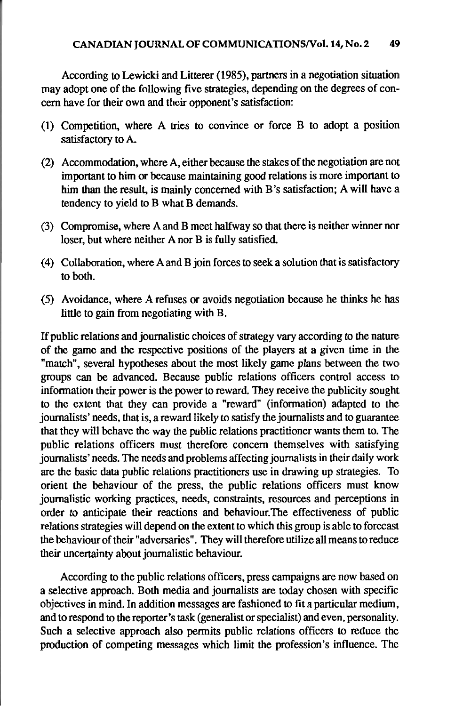According to Lewicki and Litterer (1985). partners in a negotiation situation may adopt one of the following five strategies, depending on the degrees of concern have for their own and their opponent's satisfaction:

- (1) Competition, where A tries to convince or force B to adopt a position satisfactory to A.
- (2) Accommodation, where A, either because the stakes of the negotiation are not important to him or because maintaining good relations is more important to him than the result, is mainly concerned with B's satisfaction; A will have a tendency to yield to B what B demands.
- (3) Compromise, where A and B meet halfway so that there is neither winner nor loser, but where neither A nor B is fully satisfied.
- (4) Collaboration, where A and B join forces to seek a solution that is satisfactory to both.
- (5) Avoidance, where A refuses or avoids negotiation because he thinks he has little to gain from negotiating with B.

If public relations and journalistic choices of strategy vary according to the nature of the game and the respective positions of the players at a given time in the "match", several hypotheses about the most likely game plans between the two groups can be advanced. Because public relations officers control access to information their power is the power to reward. They receive the publicity sought to the extent that they can provide a "reward" (information) adapted to the journalists' needs, that is, a reward likely to satisfy the journalists and to guarantee that they will behave the way the public relations practitioner wants them to. The public relations officers must therefore concern themselves with satisfying journalists' needs. The needs and problems affecting journalists in their daily work are the basic data public relations practitioners use in drawing up strategies. To orient the behaviour of the press, the public relations officers must know journalistic working practices, needs, constraints, resources and perceptions in order to anticipate their reactions and behaviour.The effectiveness of public relations strategies will depend on the extent to which this group is able to forecast the behaviourof their "adversaries". They will therefore utilize all means toreduce their uncertainty about journalistic behaviour.

According to the public relations officers, press campaigns are now based on a selective approach. Both media and journalists are today chosen with specific objectives in mind. In addition messages are fashioned to fit a particular medium, and to respond to the reporter's task (generalist or specialist) and even, personality. Such a selective approach also permits public relations officers to reduce the production of competing messages which limit the profession's influence. The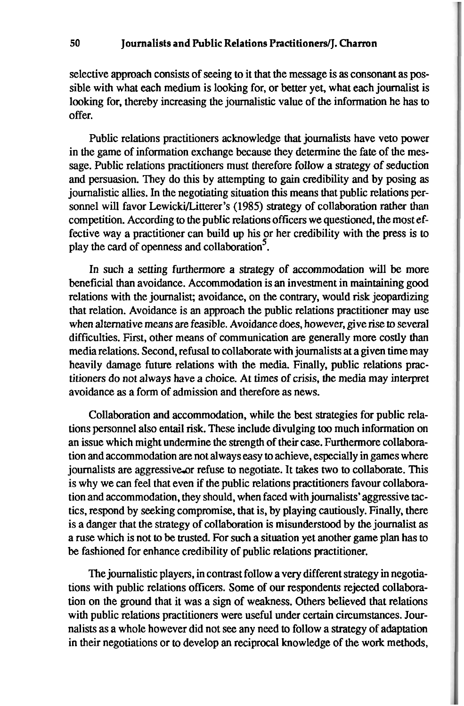selective approach consists of seeing to it that the message is as consonant as possible with what each medium is looking for, or better yet, what each journalist is looking for, thereby increasing the journalistic value of the information he has to offer.

Public relations practitioners acknowledge that journalists have veto power in the game of information exchange because they determine the fate of the message. Public relations practitioners must therefore follow a strategy of seduction and persuasion. They do this by attempting to gain credibility and by posing as journalistic allies. In the negotiating situation this means that public relations personnel will favor Lewicki/Litterer's (1985) strategy of collaboration rather than competition. According to the public relations officers we questioned, the most effective way a practitioner can build up his or her credibility with the press is to play the card of openness and collaboration<sup>5</sup>.

In such a setting furthermore a strategy of accommodation will be more beneficial than avoidance. Accommodation is an investment in maintaining good relations with the journalist; avoidance, on the contrary, would risk jeopardizing that relation. Avoidance is an approach the public relations practitioner may use when alternative means are feasible. Avoidance does, however, give rise to several difficulties. First, other means of communication are generally more costly than media relations. Second, refusal to collaborate with journalists at a given time may heavily damage future relations with the media. Finally, public relations practitioners do not always have a choice. At times of crisis, the media may interpret avoidance as a form of admission and therefore as news.

Collaboration and accommodation, while the best strategies for public relations personnel also entail risk. These include divulging too much information on an issue which might undermine the strength of their case. Furthermore collaboration and accommodation are not always easy to achieve, especially in games where journalists are aggressive or refuse to negotiate. It takes two to collaborate. This is why we can feel that even if the public relations practitioners favour collaboration and accommodation, they should, when faced with journalists'aggressive tactics, respond by seeking compromise, that is, by playing cautiously. Finally, there is a danger that the strategy of collaboration is misunderstood by the journalist as a **me** which is not to be trusted. For such a situation yet another game plan has to be fashioned for enhance credibility of public relations practitioner.

The journalistic players, in contrast follow a very different strategy in negotiations with public relations officers. Some of our respondents rejected collaboration on the ground that it was a sign of weakness. Others believed that relations with public relations practitioners were useful under certain circumstances. Journalists as a whole however did not see any need to follow a strategy of adaptation in their negotiations or to develop an reciprocal knowledge of the work methods,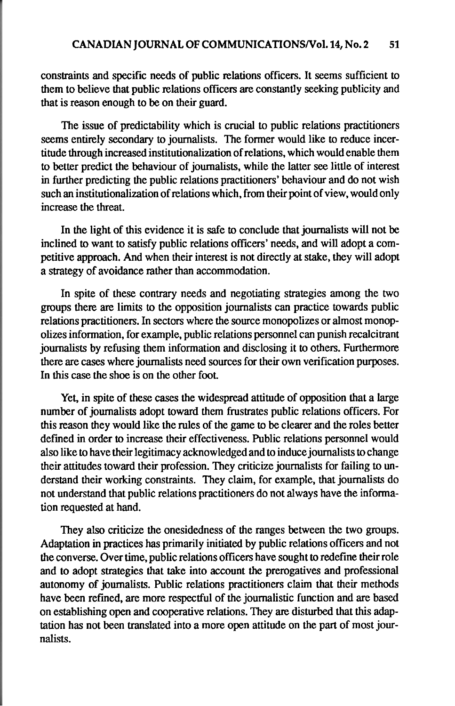constraints and specific needs of public relations officers. It seems sufficient to them to believe that public relations officers **are** constantly seeking publicity and that is reason enough to be on their guard.

The issue of predictability which is crucial to public relations practitioners seems entirely secondary to journalists. The former would like to reduce incertitude through increased institutionalization of relations, which would enable them to better predict the behaviour of journalists, while the latter see little of interest in further predicting the public relations practitioners' behaviour and do not wish such an institutionalization of relations which, from their point of view, wouldonly increase the threat.

In the light of this evidence it is safe to conclude that journalists will not be inclined to want to satisfy public relations officers' needs, and will adopt a competitive approach. And when their interest is not directly at stake, they will adopt a strategy of avoidance rather than accommodation.

In spite of these contrary needs and negotiating strategies among the two groups there **are** limits to the opposition journalists can practice towards public relations practitioners. In sectors where the source monopolizes or almost monopolizes information, for example, public relations personnel can punish recalcitrant journalists by refusing them information and disclosing it to others. Furthermore there are cases where journalists need sources for their own verification purposes. In this case the shoe is on the other foot.

Yet, in spite of these cases the widespread attitude of opposition that a large number of journalists adopt toward them frustrates public relations officers. For this reason they would like the rules of the game to be clearer and the roles better defined in order to increase their effectiveness. Public relations personnel would also like to have their legitimacy acknowledged and to induce journalists to change their attitudes toward their profession. They criticize journalists for failing to understand their working constraints. They claim, for example, that journalists do not understand that public relations practitioners do not always have the information requested at hand.

They also criticize the onesidedness of the ranges between the two groups. Adaptation in practices has primarily initiated by public relations officers and not the converse. Over time, public relations officers have sought to redefine their role and to adopt strategies that take into account the prerogatives and professional autonomy of journalists. Public relations practitioners claim that their methods have been refined, are more respectful of the journalistic function and are based on establishing open and cooperative relations. They **are** disturbed that this adaptation has not been translated into a more open attitude on the part of most journalists.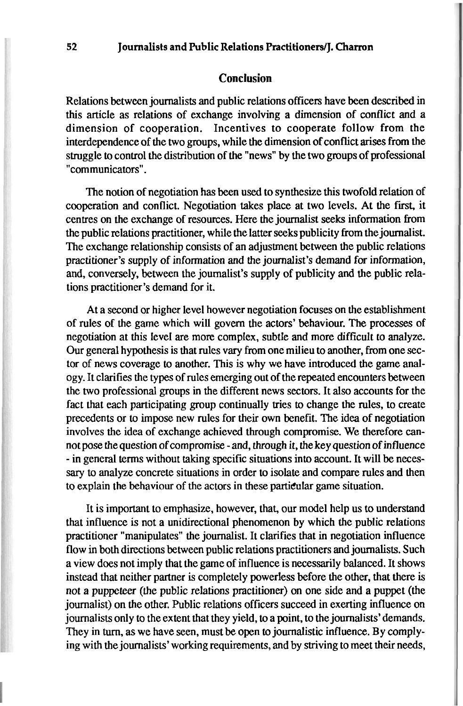#### **Conclusion**

Relations between journalists and public relations officers have been described in this article as relations of exchange involving a dimension of conflict and a dimension of cooperation. Incentives to cooperate follow from the interdependence of the two groups, while the dimension of conflict **arises** from the struggle to control the distribution of the "news" by the two groups of professional "communicators".

The notion of negotiation has been used to synthesize this twofold relation of cooperation and conflict. Negotiation takes place at two levels. At the first, it centres on the exchange of resources. Here the journalist **seeks** information from the public relations practitioner, while the latter seeks publicity from the journalist. The exchange relationship consists of an adjustment between the public relations practitioner's supply of information and the journalist's demand for information, and, conversely, between the journalist's supply of publicity and the public relations practitioner's demand for it.

At a second or higher level however negotiation focuses on the establishment of rules of the game which will govern the actors' behaviour. The processes of negotiation at this level are more complex, subtle and more difficult to analyze. Our general hypothesis is that rules vary from one milieu to another, from one sector of news coverage to another. This is why we have introduced the game analogy. It clarifies the types of rules emerging out of the repeated encounters between the two professional groups in the different news sectors. It also accounts for the fact that each participating group continually tries to change the rules, to create precedents or to impose new rules for their own benefit. The idea of negotiation involves the idea of exchange achieved through compromise. We therefore cannot pose the question of compromise - and, through it, the key question of influence - in general terms without taking specific situations into account. It will be necessary to analyze concrete situations in order to isolate and compare rules and then to explain the behaviour of the actors in these particular game situation.

It is important to emphasize, however, that, our model help us to understand that influence is not a unidirectional phenomenon by which the public relations practitioner "manipulates" the journalist. It clarifies that in negotiation influence flow in both directions between public relations practitioners and journalists. Such a view does not imply that the game of influence is necessarily balanced. It shows instead that neither partner is completely powerless before the other, that there is not a puppeteer (the public relations practitioner) on one side and a puppet (the journalist) on the other. Public relations officers succeed in exerting influence on journalists only to the extent that they yield, to a point, to the journalists'demands. They in turn, as we have seen, must be open to journalistic influence. By complying with the journalists'working requirements, and by striving to meet their needs,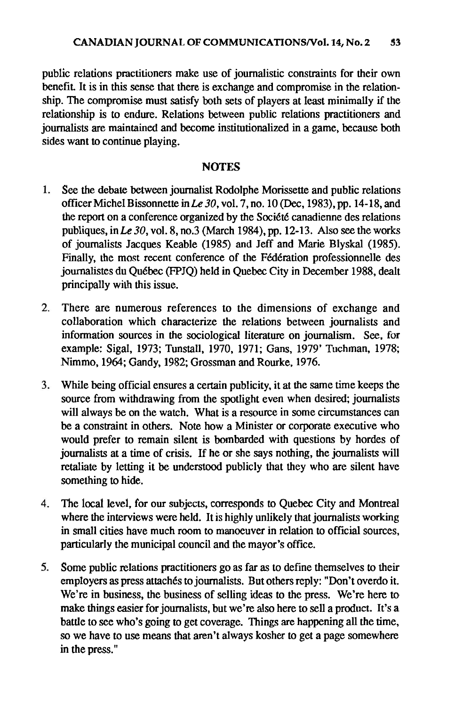public relations practitioners make use of journalistic constraints for their own benefit. It is in this sense that there is exchange and compromise in the relationship. The compromise must satisfy both sets of players at least minimally if the relationship is to endure. Relations between public relations practitioners and journalists are maintained and become institutionalized in a game, because both sides want to continue playing.

## **NOTES**

- See the debate between journalist Rodolphe Morissette and public relations  $1.$ officer Michel Bissonnette in *Le* 30, vol. 7, no. 10 (Dec, 1983). **pp.** 14-18, and the report on a conference organized by the Société canadienne des relations publiques, in  $Le\ 30$ , vol. 8, no.3 (March 1984), pp. 12-13. Also see the works of journalists Jacques Keable (1985) and Jeff and Marie Blyskal (1985). Finally, the most recent conference of the Fédération professionnelle des journalistes du Quebec (FPJQ) held in Quebec City in December 1988, dealt principally with this issue.
- $2.$ There are numerous references to the dimensions of exchange and collaboration which characterize the relations between journalists and information sources in the sociological literature on journalism. See, for example: Sigal, 1973; Tunstall, 1970, 1971; Gans, 1979' Tuchman, 1978; Nimmo, 1964; Gandy, 1982; Grossman and Rourke, 1976.
- $3.$ While being official ensures a certain publicity, it at the same time keeps the source from withdrawing from the spotlight even when desired; journalists will always be on the watch. What is a resource in some circumstances can be a constraint in others. Note how a Minister or corporate executive who would prefer to remain silent is bombarded with questions by hordes of journalists at a time of crisis. If he or she says nothing, the journalists will retaliate by letting it be understood publicly that they who are silent have something to hide.
- The local level, for our subjects, corresponds to Quebec City and Montreal 4. where the interviews were held. It is highly unlikely that journalists working in small cities have much room to manoeuver in relation to official sources, particularly the municipal council and the mayor's office.
- 5. Some public relations practitioners go as far as to define themselves to their employers as press attachés to journalists. But others reply: "Don't overdo it. We're in business, the business of selling ideas to the press. We're here to make things easier for journalists, but we're also here to sell a product. It's a battle to see who's going to get coverage. Things are happening all the time, so we have to use means that aren't always kosher to get a page somewhere in the press. "